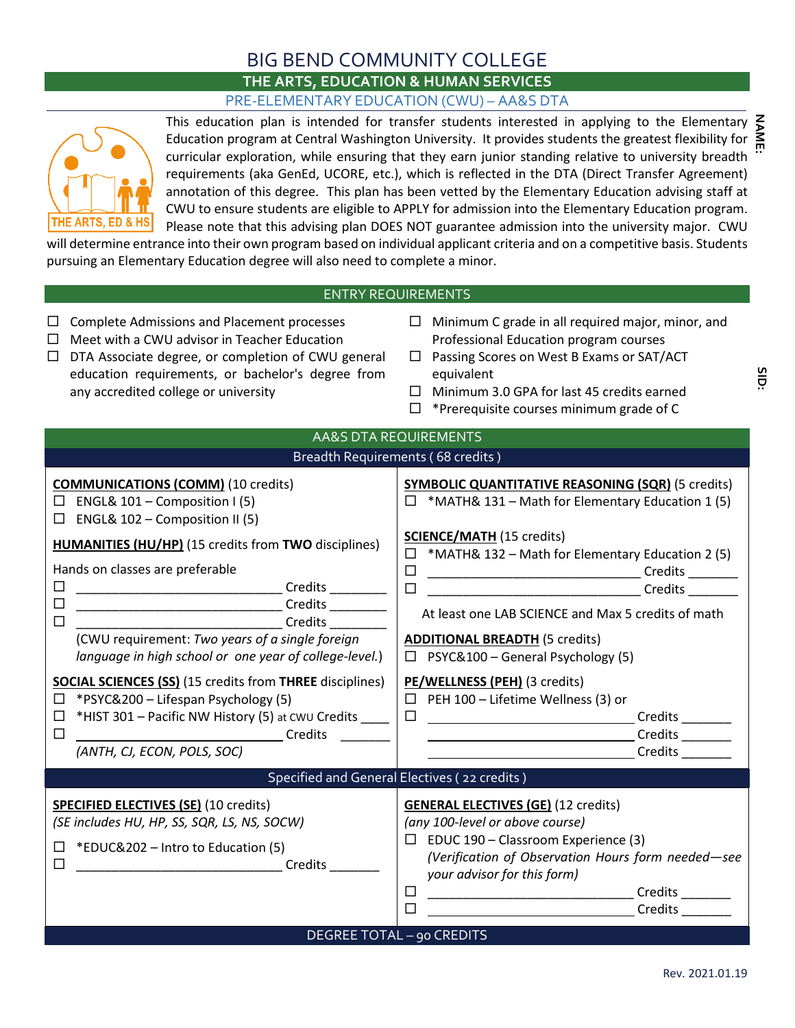## BIG BEND COMMUNITY COLLEGE

## **THE ARTS, EDUCATION & HUMAN SERVICES** PRE-ELEMENTARY EDUCATION (CWU) – AA&S DTA



This education plan is intended for transfer students interested in applying to the Elementary Education program at Central Washington University. It provides students the greatest flexibility for curricular exploration, while ensuring that they earn junior standing relative to university breadth requirements (aka GenEd, UCORE, etc.), which is reflected in the DTA (Direct Transfer Agreement) annotation of this degree. This plan has been vetted by the Elementary Education advising staff at CWU to ensure students are eligible to APPLY for admission into the Elementary Education program. Please note that this advising plan DOES NOT guarantee admission into the university major. CWU

will determine entrance into their own program based on individual applicant criteria and on a competitive basis. Students pursuing an Elementary Education degree will also need to complete a minor.

## ENTRY REQUIREMENTS

|                                                                                                                                                                                                                                                                                                                                                                                                                                                                                                                                                                                                                 | ハ ! ハ∟QUI\LIVILI \                                                                                                                                                                                                                                                                                                                                                                                                                                                                                                                                                          |
|-----------------------------------------------------------------------------------------------------------------------------------------------------------------------------------------------------------------------------------------------------------------------------------------------------------------------------------------------------------------------------------------------------------------------------------------------------------------------------------------------------------------------------------------------------------------------------------------------------------------|-----------------------------------------------------------------------------------------------------------------------------------------------------------------------------------------------------------------------------------------------------------------------------------------------------------------------------------------------------------------------------------------------------------------------------------------------------------------------------------------------------------------------------------------------------------------------------|
| <b>Complete Admissions and Placement processes</b><br>$\Box$<br>$\Box$ Meet with a CWU advisor in Teacher Education<br>$\Box$ DTA Associate degree, or completion of CWU general<br>education requirements, or bachelor's degree from<br>any accredited college or university                                                                                                                                                                                                                                                                                                                                   | $\Box$ Minimum C grade in all required major, minor, and<br>Professional Education program courses<br>$\Box$ Passing Scores on West B Exams or SAT/ACT<br>equivalent<br>$\Box$ Minimum 3.0 GPA for last 45 credits earned<br>$\Box$ *Prerequisite courses minimum grade of C                                                                                                                                                                                                                                                                                                |
|                                                                                                                                                                                                                                                                                                                                                                                                                                                                                                                                                                                                                 | <b>AA&amp;S DTA REQUIREMENTS</b>                                                                                                                                                                                                                                                                                                                                                                                                                                                                                                                                            |
|                                                                                                                                                                                                                                                                                                                                                                                                                                                                                                                                                                                                                 | Breadth Requirements (68 credits)                                                                                                                                                                                                                                                                                                                                                                                                                                                                                                                                           |
| <b>COMMUNICATIONS (COMM)</b> (10 credits)<br>$\Box$ ENGL& 101 - Composition I (5)<br>$\Box$ ENGL& 102 – Composition II (5)<br><b>HUMANITIES (HU/HP)</b> (15 credits from TWO disciplines)<br>Hands on classes are preferable<br>□<br>$\Box$<br>(CWU requirement: Two years of a single foreign<br>language in high school or one year of college-level.)<br><b>SOCIAL SCIENCES (SS) (15 credits from THREE disciplines)</b><br>*PSYC&200 - Lifespan Psychology (5)<br>*HIST 301 - Pacific NW History (5) at CWU Credits _____<br>$\Box$<br>$\Box$<br><b>Example 2018</b> Credits<br>(ANTH, CJ, ECON, POLS, SOC) | <b>SYMBOLIC QUANTITATIVE REASONING (SQR) (5 credits)</b><br>$\Box$ *MATH& 131 – Math for Elementary Education 1 (5)<br><b>SCIENCE/MATH (15 credits)</b><br>$\Box$ *MATH& 132 – Math for Elementary Education 2 (5)<br>$\Box$<br>$\Box$<br>At least one LAB SCIENCE and Max 5 credits of math<br><b>ADDITIONAL BREADTH (5 credits)</b><br>$\Box$ PSYC&100 - General Psychology (5)<br>PE/WELLNESS (PEH) (3 credits)<br>$\Box$ PEH 100 - Lifetime Wellness (3) or<br>$\Box$<br>Credits ________<br>the contract of the contract of the contract of the contract of<br>Credits |
|                                                                                                                                                                                                                                                                                                                                                                                                                                                                                                                                                                                                                 | Specified and General Electives (22 credits)                                                                                                                                                                                                                                                                                                                                                                                                                                                                                                                                |
| <b>SPECIFIED ELECTIVES (SE) (10 credits)</b><br>(SE includes HU, HP, SS, SQR, LS, NS, SOCW)<br>*EDUC&202 - Intro to Education (5)<br><u> 1990 - Johann Barbara, martin a</u><br>Credits<br>□                                                                                                                                                                                                                                                                                                                                                                                                                    | <b>GENERAL ELECTIVES (GE) (12 credits)</b><br>(any 100-level or above course)<br>$\Box$ EDUC 190 – Classroom Experience (3)<br>(Verification of Observation Hours form needed-see<br>your advisor for this form)<br>⊔<br>Credits <sub>______</sub><br>□<br>Credits                                                                                                                                                                                                                                                                                                          |
|                                                                                                                                                                                                                                                                                                                                                                                                                                                                                                                                                                                                                 | DEGREE TOTAL - 90 CREDITS                                                                                                                                                                                                                                                                                                                                                                                                                                                                                                                                                   |

**NAME: SID:**SID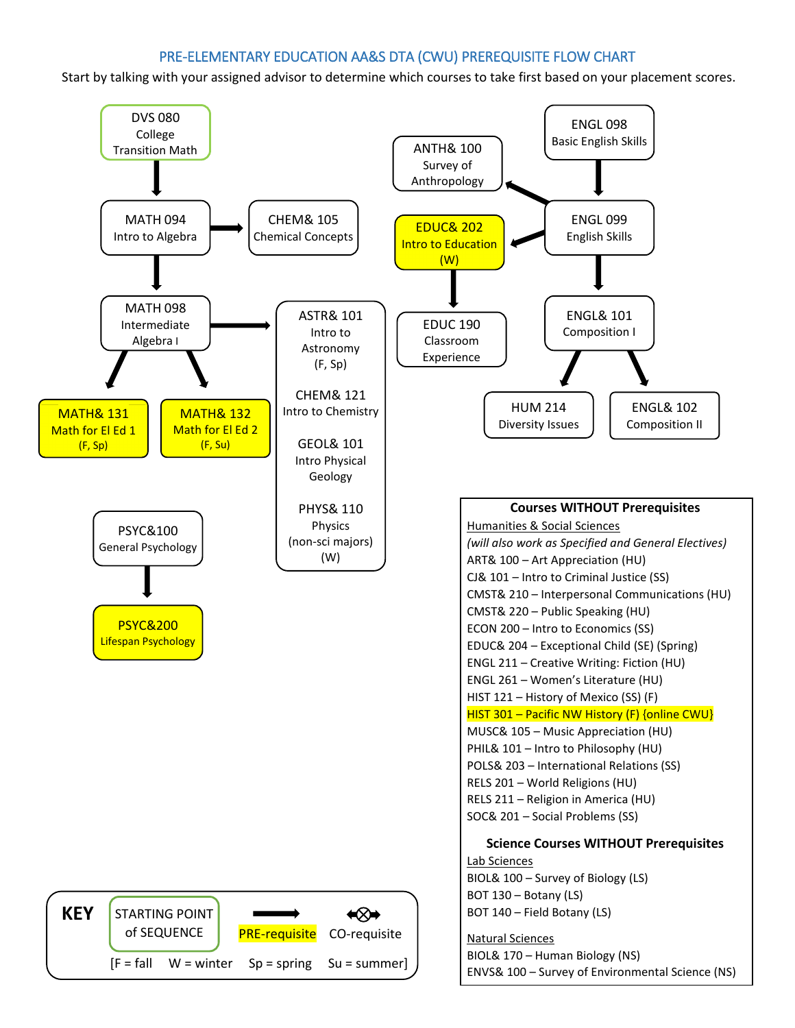## PRE-ELEMENTARY EDUCATION AA&S DTA (CWU) PREREQUISITE FLOW CHART

Start by talking with your assigned advisor to determine which courses to take first based on your placement scores.

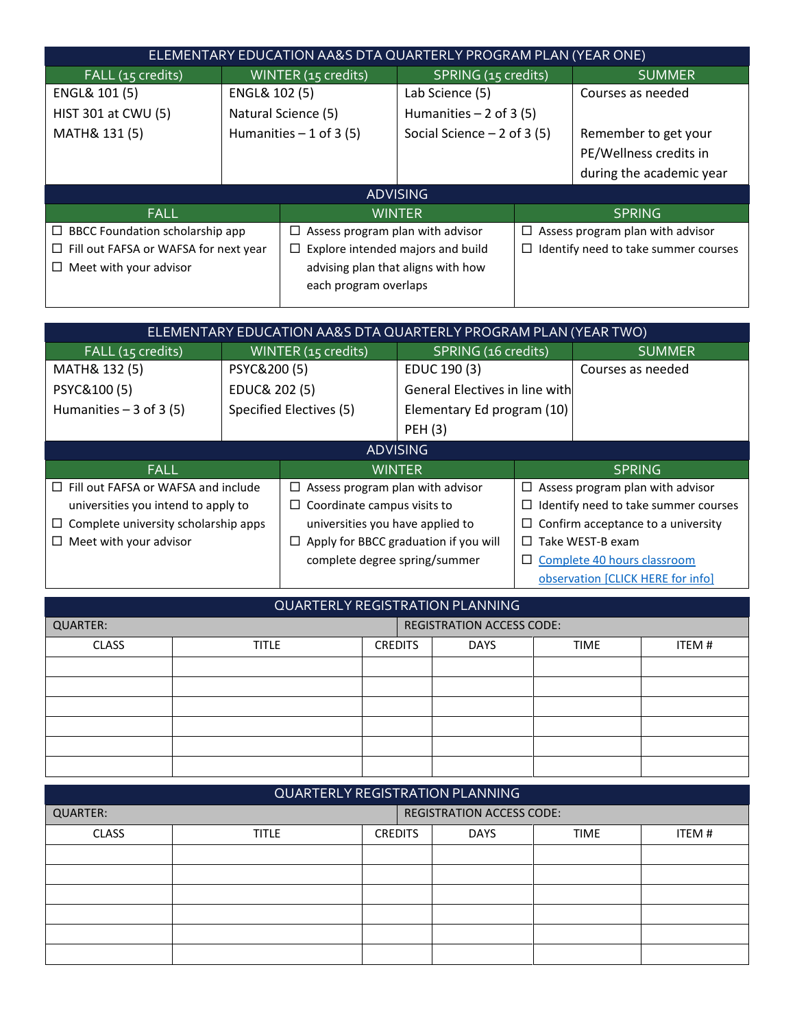|                                                                   | ELEMENTARY EDUCATION AA&S DTA QUARTERLY PROGRAM PLAN (YEAR ONE) |                                          |                              |                                                |                          |  |  |  |
|-------------------------------------------------------------------|-----------------------------------------------------------------|------------------------------------------|------------------------------|------------------------------------------------|--------------------------|--|--|--|
| FALL (15 credits)                                                 | WINTER (15 credits)                                             |                                          | SPRING (15 credits)          |                                                | <b>SUMMER</b>            |  |  |  |
| ENGL& 101 (5)                                                     | ENGL& 102 (5)                                                   |                                          | Lab Science (5)              |                                                | Courses as needed        |  |  |  |
| HIST 301 at CWU (5)                                               | Natural Science (5)                                             |                                          | Humanities $-2$ of 3 (5)     |                                                |                          |  |  |  |
| MATH& 131 (5)                                                     |                                                                 | Humanities $-1$ of 3 (5)                 | Social Science $-2$ of 3 (5) |                                                | Remember to get your     |  |  |  |
|                                                                   |                                                                 |                                          |                              |                                                | PE/Wellness credits in   |  |  |  |
|                                                                   |                                                                 |                                          |                              |                                                | during the academic year |  |  |  |
|                                                                   |                                                                 |                                          | <b>ADVISING</b>              |                                                |                          |  |  |  |
| <b>FALL</b>                                                       |                                                                 |                                          | <b>WINTER</b>                |                                                | <b>SPRING</b>            |  |  |  |
| BBCC Foundation scholarship app<br>$\Box$                         | Assess program plan with advisor<br>⊔                           |                                          |                              | Assess program plan with advisor<br>$\Box$     |                          |  |  |  |
| Fill out FAFSA or WAFSA for next year<br>⊔                        |                                                                 | $\Box$ Explore intended majors and build |                              | Identify need to take summer courses<br>$\Box$ |                          |  |  |  |
| Meet with your advisor<br>advising plan that aligns with how<br>⊔ |                                                                 |                                          |                              |                                                |                          |  |  |  |
|                                                                   |                                                                 | each program overlaps                    |                              |                                                |                          |  |  |  |
|                                                                   |                                                                 |                                          |                              |                                                |                          |  |  |  |

| ELEMENTARY EDUCATION AA&S DTA QUARTERLY PROGRAM PLAN (YEAR TWO) |                                                                          |                                       |                                       |                                           |                                   |  |  |
|-----------------------------------------------------------------|--------------------------------------------------------------------------|---------------------------------------|---------------------------------------|-------------------------------------------|-----------------------------------|--|--|
| FALL (15 credits)                                               |                                                                          | WINTER (15 credits)                   | SPRING (16 credits)                   |                                           | <b>SUMMER</b>                     |  |  |
| MATH& 132 (5)                                                   | PSYC&200 (5)                                                             |                                       | EDUC 190 (3)                          |                                           | Courses as needed                 |  |  |
| PSYC&100(5)                                                     | EDUC& 202 (5)                                                            |                                       | <b>General Electives in line with</b> |                                           |                                   |  |  |
| Humanities $-3$ of 3 (5)                                        |                                                                          | Specified Electives (5)               | Elementary Ed program (10)            |                                           |                                   |  |  |
|                                                                 |                                                                          | <b>PEH (3)</b>                        |                                       |                                           |                                   |  |  |
| <b>ADVISING</b>                                                 |                                                                          |                                       |                                       |                                           |                                   |  |  |
| <b>FALL</b>                                                     |                                                                          |                                       | <b>WINTER</b>                         |                                           | <b>SPRING</b>                     |  |  |
| Fill out FAFSA or WAFSA and include<br>$\Box$                   |                                                                          | Assess program plan with advisor<br>□ |                                       | Assess program plan with advisor<br>□     |                                   |  |  |
| universities you intend to apply to                             |                                                                          | Coordinate campus visits to<br>□      |                                       | Identify need to take summer courses<br>⊔ |                                   |  |  |
| ⊔                                                               | Complete university scholarship apps<br>universities you have applied to |                                       |                                       | Confirm acceptance to a university<br>⊔   |                                   |  |  |
| Meet with your advisor<br>$\Box$                                | ப                                                                        |                                       | Apply for BBCC graduation if you will | Take WEST-B exam<br>$\Box$                |                                   |  |  |
|                                                                 |                                                                          | complete degree spring/summer         |                                       |                                           | Complete 40 hours classroom       |  |  |
|                                                                 |                                                                          |                                       |                                       |                                           | observation [CLICK HERE for info] |  |  |

| QUARTERLY REGISTRATION PLANNING |                                  |                |             |             |        |  |
|---------------------------------|----------------------------------|----------------|-------------|-------------|--------|--|
| <b>QUARTER:</b>                 | <b>REGISTRATION ACCESS CODE:</b> |                |             |             |        |  |
| <b>CLASS</b>                    | <b>TITLE</b>                     | <b>CREDITS</b> | <b>DAYS</b> | <b>TIME</b> | ITEM # |  |
|                                 |                                  |                |             |             |        |  |
|                                 |                                  |                |             |             |        |  |
|                                 |                                  |                |             |             |        |  |
|                                 |                                  |                |             |             |        |  |
|                                 |                                  |                |             |             |        |  |
|                                 |                                  |                |             |             |        |  |

| QUARTERLY REGISTRATION PLANNING |                                  |                |             |             |       |  |
|---------------------------------|----------------------------------|----------------|-------------|-------------|-------|--|
| <b>QUARTER:</b>                 | <b>REGISTRATION ACCESS CODE:</b> |                |             |             |       |  |
| <b>CLASS</b>                    | <b>TITLE</b>                     | <b>CREDITS</b> | <b>DAYS</b> | <b>TIME</b> | ITEM# |  |
|                                 |                                  |                |             |             |       |  |
|                                 |                                  |                |             |             |       |  |
|                                 |                                  |                |             |             |       |  |
|                                 |                                  |                |             |             |       |  |
|                                 |                                  |                |             |             |       |  |
|                                 |                                  |                |             |             |       |  |